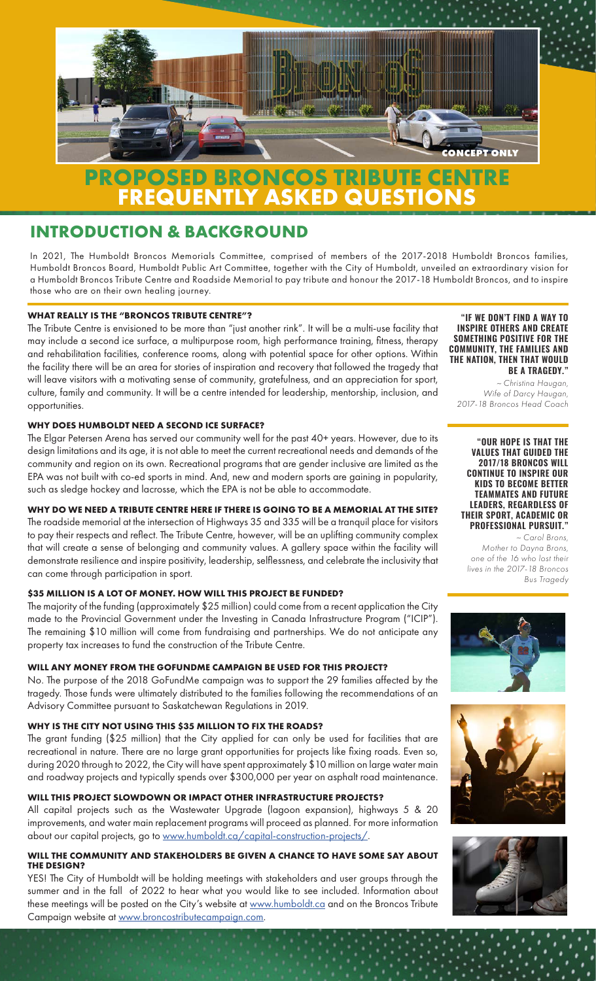

# **FREQUENTLY ASKED QUESTIONS**

# **INTRODUCTION & BACKGROUND**

In 2021, The Humboldt Broncos Memorials Committee, comprised of members of the 2017-2018 Humboldt Broncos families, Humboldt Broncos Board, Humboldt Public Art Committee, together with the City of Humboldt, unveiled an extraordinary vision for a Humboldt Broncos Tribute Centre and Roadside Memorial to pay tribute and honour the 2017-18 Humboldt Broncos, and to inspire those who are on their own healing journey.

### **WHAT REALLY IS THE "BRONCOS TRIBUTE CENTRE"?**

The Tribute Centre is envisioned to be more than "just another rink". It will be a multi-use facility that may include a second ice surface, a multipurpose room, high performance training, fitness, therapy and rehabilitation facilities, conference rooms, along with potential space for other options. Within the facility there will be an area for stories of inspiration and recovery that followed the tragedy that will leave visitors with a motivating sense of community, gratefulness, and an appreciation for sport, culture, family and community. It will be a centre intended for leadership, mentorship, inclusion, and opportunities.

#### **WHY DOES HUMBOLDT NEED A SECOND ICE SURFACE?**

The Elgar Petersen Arena has served our community well for the past 40+ years. However, due to its design limitations and its age, it is not able to meet the current recreational needs and demands of the community and region on its own. Recreational programs that are gender inclusive are limited as the EPA was not built with co-ed sports in mind. And, new and modern sports are gaining in popularity, such as sledge hockey and lacrosse, which the EPA is not be able to accommodate.

#### **WHY DO WE NEED A TRIBUTE CENTRE HERE IF THERE IS GOING TO BE A MEMORIAL AT THE SITE?**

The roadside memorial at the intersection of Highways 35 and 335 will be a tranquil place for visitors to pay their respects and reflect. The Tribute Centre, however, will be an uplifting community complex that will create a sense of belonging and community values. A gallery space within the facility will demonstrate resilience and inspire positivity, leadership, selflessness, and celebrate the inclusivity that can come through participation in sport.

#### **\$35 MILLION IS A LOT OF MONEY. HOW WILL THIS PROJECT BE FUNDED?**

The majority of the funding (approximately \$25 million) could come from a recent application the City made to the Provincial Government under the Investing in Canada Infrastructure Program ("ICIP"). The remaining \$10 million will come from fundraising and partnerships. We do not anticipate any property tax increases to fund the construction of the Tribute Centre.

#### **WILL ANY MONEY FROM THE GOFUNDME CAMPAIGN BE USED FOR THIS PROJECT?**

No. The purpose of the 2018 GoFundMe campaign was to support the 29 families affected by the tragedy. Those funds were ultimately distributed to the families following the recommendations of an Advisory Committee pursuant to Saskatchewan Regulations in 2019.

#### **WHY IS THE CITY NOT USING THIS \$35 MILLION TO FIX THE ROADS?**

The grant funding (\$25 million) that the City applied for can only be used for facilities that are recreational in nature. There are no large grant opportunities for projects like fixing roads. Even so, during 2020 through to 2022, the City will have spent approximately \$10 million on large water main and roadway projects and typically spends over \$300,000 per year on asphalt road maintenance.

#### **WILL THIS PROJECT SLOWDOWN OR IMPACT OTHER INFRASTRUCTURE PROJECTS?**

All capital projects such as the Wastewater Upgrade (lagoon expansion), highways 5 & 20 improvements, and water main replacement programs will proceed as planned. For more information about our capital projects, go to [www.humboldt.ca/capital-construction-projects/.](http://www.humboldt.ca/capital-construction-projects/)

#### **WILL THE COMMUNITY AND STAKEHOLDERS BE GIVEN A CHANCE TO HAVE SOME SAY ABOUT THE DESIGN?**

YES! The City of Humboldt will be holding meetings with stakeholders and user groups through the summer and in the fall of 2022 to hear what you would like to see included. Information about these meetings will be posted on the City's website at [www.humboldt.ca](http://www.humboldt.ca) and on the Broncos Tribute Campaign website at [www.broncostributecampaign.com.](http://www.broncostributecampaign.com)

**"IF WE DON'T FIND A WAY TO INSPIRE OTHERS AND CREATE SOMETHING POSITIVE FOR THE COMMUNITY, THE FAMILIES AND THE NATION, THEN THAT WOULD BE A TRAGEDY."**

*~ Christina Haugan, Wife of Darcy Haugan, 2017-18 Broncos Head Coach*

#### **"OUR HOPE IS THAT THE VALUES THAT GUIDED THE 2017/18 BRONCOS WILL CONTINUE TO INSPIRE OUR KIDS TO BECOME BETTER TEAMMATES AND FUTURE LEADERS, REGARDLESS OF THEIR SPORT, ACADEMIC OR PROFESSIONAL PURSUIT."**

*~ Carol Brons, Mother to Dayna Brons, one of the 16 who lost their lives in the 2017-18 Broncos Bus Tragedy*